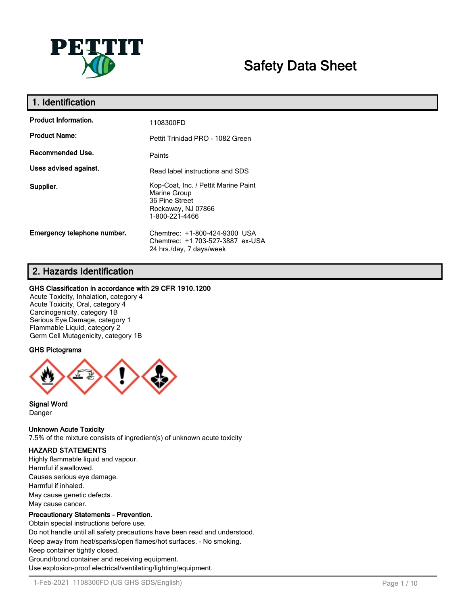

# **Safety Data Sheet**

| 1. Identification           |                                                                                                                |
|-----------------------------|----------------------------------------------------------------------------------------------------------------|
| <b>Product Information.</b> | 1108300FD                                                                                                      |
| <b>Product Name:</b>        | Pettit Trinidad PRO - 1082 Green                                                                               |
| Recommended Use.            | Paints                                                                                                         |
| Uses advised against.       | Read label instructions and SDS                                                                                |
| Supplier.                   | Kop-Coat, Inc. / Pettit Marine Paint<br>Marine Group<br>36 Pine Street<br>Rockaway, NJ 07866<br>1-800-221-4466 |
| Emergency telephone number. | Chemtrec: +1-800-424-9300 USA<br>Chemtrec: +1 703-527-3887 ex-USA<br>24 hrs./day, 7 days/week                  |

# **2. Hazards Identification**

## **GHS Classification in accordance with 29 CFR 1910.1200**

Acute Toxicity, Inhalation, category 4 Acute Toxicity, Oral, category 4 Carcinogenicity, category 1B Serious Eye Damage, category 1 Flammable Liquid, category 2 Germ Cell Mutagenicity, category 1B

# **GHS Pictograms**



**Signal Word** Danger

## **Unknown Acute Toxicity**

7.5% of the mixture consists of ingredient(s) of unknown acute toxicity

## **HAZARD STATEMENTS**

Highly flammable liquid and vapour. Harmful if swallowed. Causes serious eye damage. Harmful if inhaled. May cause genetic defects. May cause cancer.

## **Precautionary Statements - Prevention.**

Obtain special instructions before use. Do not handle until all safety precautions have been read and understood. Keep away from heat/sparks/open flames/hot surfaces. - No smoking. Keep container tightly closed. Ground/bond container and receiving equipment. Use explosion-proof electrical/ventilating/lighting/equipment.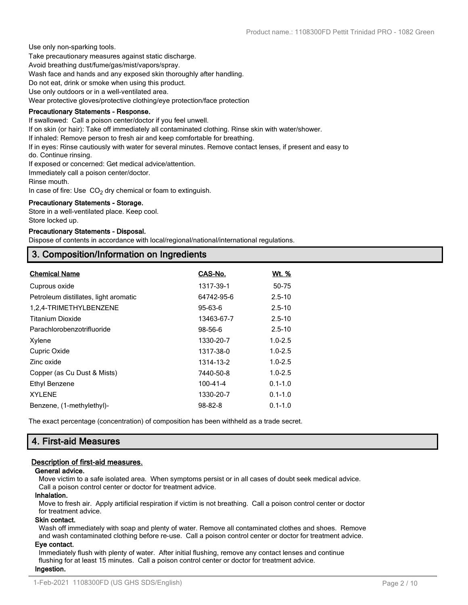Use only non-sparking tools.

Take precautionary measures against static discharge.

Avoid breathing dust/fume/gas/mist/vapors/spray.

Wash face and hands and any exposed skin thoroughly after handling.

Do not eat, drink or smoke when using this product.

Use only outdoors or in a well-ventilated area.

Wear protective gloves/protective clothing/eye protection/face protection

#### **Precautionary Statements - Response.**

If swallowed: Call a poison center/doctor if you feel unwell.

If on skin (or hair): Take off immediately all contaminated clothing. Rinse skin with water/shower.

If inhaled: Remove person to fresh air and keep comfortable for breathing.

If in eyes: Rinse cautiously with water for several minutes. Remove contact lenses, if present and easy to

do. Continue rinsing.

If exposed or concerned: Get medical advice/attention.

Immediately call a poison center/doctor.

Rinse mouth.

In case of fire: Use  $CO<sub>2</sub>$  dry chemical or foam to extinguish.

#### **Precautionary Statements - Storage.**

Store in a well-ventilated place. Keep cool. Store locked up.

#### **Precautionary Statements - Disposal.**

Dispose of contents in accordance with local/regional/national/international regulations.

# **3. Composition/Information on Ingredients**

| <b>Chemical Name</b>                  | CAS-No.       | Wt. %       |
|---------------------------------------|---------------|-------------|
| Cuprous oxide                         | 1317-39-1     | 50-75       |
| Petroleum distillates, light aromatic | 64742-95-6    | $2.5 - 10$  |
| 1,2,4-TRIMETHYLBENZENE                | 95-63-6       | $2.5 - 10$  |
| <b>Titanium Dioxide</b>               | 13463-67-7    | $2.5 - 10$  |
| Parachlorobenzotrifluoride            | 98-56-6       | $2.5 - 10$  |
| Xylene                                | 1330-20-7     | $1.0 - 2.5$ |
| Cupric Oxide                          | 1317-38-0     | $1.0 - 2.5$ |
| Zinc oxide                            | 1314-13-2     | $1.0 - 2.5$ |
| Copper (as Cu Dust & Mists)           | 7440-50-8     | $1.0 - 2.5$ |
| Ethyl Benzene                         | 100-41-4      | $0.1 - 1.0$ |
| <b>XYLENE</b>                         | 1330-20-7     | $0.1 - 1.0$ |
| Benzene, (1-methylethyl)-             | $98 - 82 - 8$ | $0.1 - 1.0$ |

The exact percentage (concentration) of composition has been withheld as a trade secret.

# **4. First-aid Measures**

## **Description of first-aid measures.**

## **General advice.**

Move victim to a safe isolated area. When symptoms persist or in all cases of doubt seek medical advice. Call a poison control center or doctor for treatment advice.

#### **Inhalation.**

Move to fresh air. Apply artificial respiration if victim is not breathing. Call a poison control center or doctor for treatment advice.

#### **Skin contact.**

Wash off immediately with soap and plenty of water. Remove all contaminated clothes and shoes. Remove and wash contaminated clothing before re-use. Call a poison control center or doctor for treatment advice.

## **Eye contact.**

Immediately flush with plenty of water. After initial flushing, remove any contact lenses and continue flushing for at least 15 minutes. Call a poison control center or doctor for treatment advice. **Ingestion.**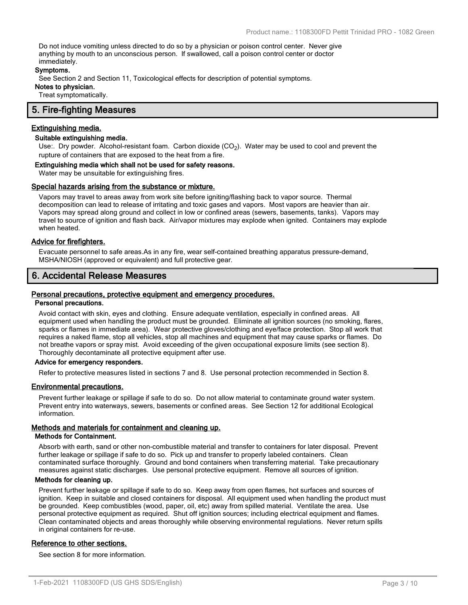Do not induce vomiting unless directed to do so by a physician or poison control center. Never give anything by mouth to an unconscious person. If swallowed, call a poison control center or doctor immediately.

#### **Symptoms.**

See Section 2 and Section 11, Toxicological effects for description of potential symptoms.

**Notes to physician.**

Treat symptomatically.

# **5. Fire-fighting Measures**

#### **Extinguishing media.**

## **Suitable extinguishing media.**

Use:. Dry powder. Alcohol-resistant foam. Carbon dioxide (CO<sub>2</sub>). Water may be used to cool and prevent the rupture of containers that are exposed to the heat from a fire.

#### **Extinguishing media which shall not be used for safety reasons.**

Water may be unsuitable for extinguishing fires.

#### **Special hazards arising from the substance or mixture.**

Vapors may travel to areas away from work site before igniting/flashing back to vapor source. Thermal decomposition can lead to release of irritating and toxic gases and vapors. Most vapors are heavier than air. Vapors may spread along ground and collect in low or confined areas (sewers, basements, tanks). Vapors may travel to source of ignition and flash back. Air/vapor mixtures may explode when ignited. Containers may explode when heated.

#### **Advice for firefighters.**

Evacuate personnel to safe areas.As in any fire, wear self-contained breathing apparatus pressure-demand, MSHA/NIOSH (approved or equivalent) and full protective gear.

# **6. Accidental Release Measures**

#### **Personal precautions, protective equipment and emergency procedures.**

#### **Personal precautions.**

Avoid contact with skin, eyes and clothing. Ensure adequate ventilation, especially in confined areas. All equipment used when handling the product must be grounded. Eliminate all ignition sources (no smoking, flares, sparks or flames in immediate area). Wear protective gloves/clothing and eye/face protection. Stop all work that requires a naked flame, stop all vehicles, stop all machines and equipment that may cause sparks or flames. Do not breathe vapors or spray mist. Avoid exceeding of the given occupational exposure limits (see section 8). Thoroughly decontaminate all protective equipment after use.

#### **Advice for emergency responders.**

Refer to protective measures listed in sections 7 and 8. Use personal protection recommended in Section 8.

#### **Environmental precautions.**

Prevent further leakage or spillage if safe to do so. Do not allow material to contaminate ground water system. Prevent entry into waterways, sewers, basements or confined areas. See Section 12 for additional Ecological information.

## **Methods and materials for containment and cleaning up.**

#### **Methods for Containment.**

Absorb with earth, sand or other non-combustible material and transfer to containers for later disposal. Prevent further leakage or spillage if safe to do so. Pick up and transfer to properly labeled containers. Clean contaminated surface thoroughly. Ground and bond containers when transferring material. Take precautionary measures against static discharges. Use personal protective equipment. Remove all sources of ignition.

#### **Methods for cleaning up.**

Prevent further leakage or spillage if safe to do so. Keep away from open flames, hot surfaces and sources of ignition. Keep in suitable and closed containers for disposal. All equipment used when handling the product must be grounded. Keep combustibles (wood, paper, oil, etc) away from spilled material. Ventilate the area. Use personal protective equipment as required. Shut off ignition sources; including electrical equipment and flames. Clean contaminated objects and areas thoroughly while observing environmental regulations. Never return spills in original containers for re-use.

#### **Reference to other sections.**

See section 8 for more information.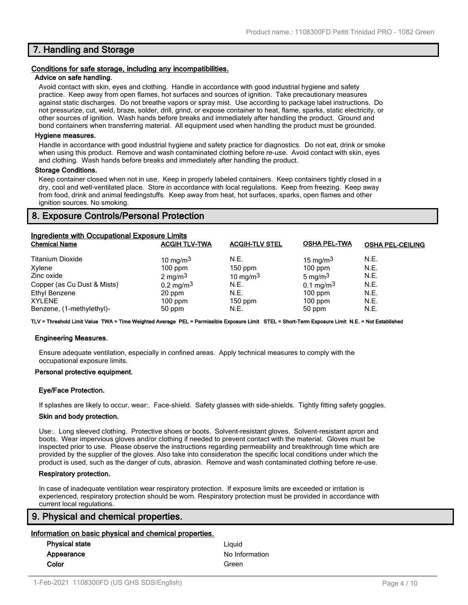# **7. Handling and Storage**

#### **Conditions for safe storage, including any incompatibilities.**

#### **Advice on safe handling.**

Avoid contact with skin, eyes and clothing. Handle in accordance with good industrial hygiene and safety practice. Keep away from open flames, hot surfaces and sources of ignition. Take precautionary measures against static discharges. Do not breathe vapors or spray mist. Use according to package label instructions. Do not pressurize, cut, weld, braze, solder, drill, grind, or expose container to heat, flame, sparks, static electricity, or other sources of ignition. Wash hands before breaks and immediately after handling the product. Ground and bond containers when transferring material. All equipment used when handling the product must be grounded.

#### **Hygiene measures.**

Handle in accordance with good industrial hygiene and safety practice for diagnostics. Do not eat, drink or smoke when using this product. Remove and wash contaminated clothing before re-use. Avoid contact with skin, eyes and clothing. Wash hands before breaks and immediately after handling the product.

#### **Storage Conditions.**

Keep container closed when not in use. Keep in properly labeled containers. Keep containers tightly closed in a dry, cool and well-ventilated place. Store in accordance with local regulations. Keep from freezing. Keep away from food, drink and animal feedingstuffs. Keep away from heat, hot surfaces, sparks, open flames and other ignition sources. No smoking.

# **8. Exposure Controls/Personal Protection**

| <b>Ingredients with Occupational Exposure Limits</b> |                         |                       |                         |                         |
|------------------------------------------------------|-------------------------|-----------------------|-------------------------|-------------------------|
| <b>Chemical Name</b>                                 | <b>ACGIH TLV-TWA</b>    | <b>ACGIH-TLV STEL</b> | <b>OSHA PEL-TWA</b>     | <b>OSHA PEL-CEILING</b> |
| <b>Titanium Dioxide</b>                              | 10 mg/m $3$             | N.E.                  | 15 mg/m $3$             | N.E.                    |
| Xylene                                               | $100$ ppm               | $150$ ppm             | $100$ ppm               | N.E.                    |
| Zinc oxide                                           | 2 mg/m $3$              | 10 mg/m $3$           | 5 mg/m $3$              | N.E.                    |
| Copper (as Cu Dust & Mists)                          | $0.2 \,\mathrm{mg/m^3}$ | N.E.                  | $0.1 \,\mathrm{mg/m^3}$ | N.E.                    |
| Ethyl Benzene                                        | 20 ppm                  | N.E.                  | $100$ ppm               | N.E.                    |
| <b>XYLENE</b>                                        | $100$ ppm               | $150$ ppm             | $100$ ppm               | N.E.                    |
| Benzene, (1-methylethyl)-                            | 50 ppm                  | N.E.                  | 50 ppm                  | N.E.                    |

**TLV = Threshold Limit Value TWA = Time Weighted Average PEL = Permissible Exposure Limit STEL = Short-Term Exposure Limit N.E. = Not Established**

#### **Engineering Measures.**

Ensure adequate ventilation, especially in confined areas. Apply technical measures to comply with the occupational exposure limits.

#### **Personal protective equipment.**

#### **Eye/Face Protection.**

If splashes are likely to occur, wear:. Face-shield. Safety glasses with side-shields. Tightly fitting safety goggles.

#### **Skin and body protection.**

Use:. Long sleeved clothing. Protective shoes or boots. Solvent-resistant gloves. Solvent-resistant apron and boots. Wear impervious gloves and/or clothing if needed to prevent contact with the material. Gloves must be inspected prior to use. Please observe the instructions regarding permeability and breakthrough time which are provided by the supplier of the gloves. Also take into consideration the specific local conditions under which the product is used, such as the danger of cuts, abrasion. Remove and wash contaminated clothing before re-use.

#### **Respiratory protection.**

In case of inadequate ventilation wear respiratory protection. If exposure limits are exceeded or irritation is experienced, respiratory protection should be worn. Respiratory protection must be provided in accordance with current local regulations.

# **9. Physical and chemical properties.**

#### **Information on basic physical and chemical properties.**

| <b>Physical state</b> | Liauid         |
|-----------------------|----------------|
| Appearance            | No Information |
| Color                 | Green          |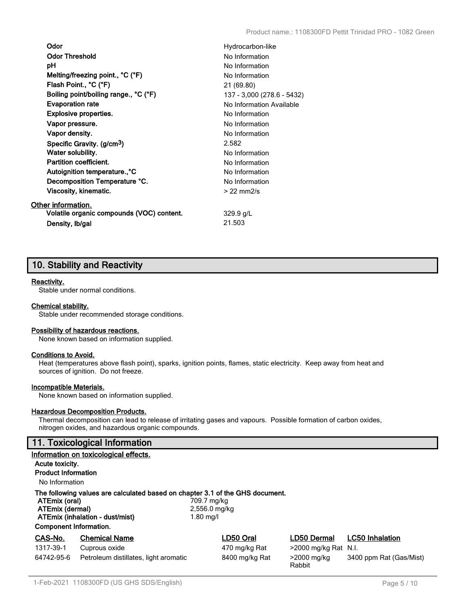| Odor                                      | Hydrocarbon-like           |
|-------------------------------------------|----------------------------|
| <b>Odor Threshold</b>                     | No Information             |
| рH                                        | No Information             |
|                                           |                            |
| Melting/freezing point., °C (°F)          | No Information             |
| Flash Point., °C (°F)                     | 21 (69.80)                 |
| Boiling point/boiling range., °C (°F)     | 137 - 3,000 (278.6 - 5432) |
| <b>Evaporation rate</b>                   | No Information Available   |
| <b>Explosive properties.</b>              | No Information             |
| Vapor pressure.                           | No Information             |
| Vapor density.                            | No Information             |
| Specific Gravity. (g/cm <sup>3</sup> )    | 2.582                      |
| Water solubility.                         | No Information             |
| <b>Partition coefficient.</b>             | No Information             |
| Autoignition temperature°C                | No Information             |
| Decomposition Temperature °C.             | No Information             |
| Viscosity, kinematic.                     | $> 22$ mm $2/s$            |
| Other information.                        |                            |
| Volatile organic compounds (VOC) content. | $329.9$ g/L                |
| Density, Ib/gal                           | 21.503                     |

# **10. Stability and Reactivity**

## **Reactivity.**

Stable under normal conditions.

#### **Chemical stability.**

Stable under recommended storage conditions.

#### **Possibility of hazardous reactions.**

None known based on information supplied.

#### **Conditions to Avoid.**

Heat (temperatures above flash point), sparks, ignition points, flames, static electricity. Keep away from heat and sources of ignition. Do not freeze.

#### **Incompatible Materials.**

None known based on information supplied.

#### **Hazardous Decomposition Products.**

Thermal decomposition can lead to release of irritating gases and vapours. Possible formation of carbon oxides, nitrogen oxides, and hazardous organic compounds.

# **11. Toxicological Information**

|                                                                                                                                                                                                                                    | Information on toxicological effects. |                |                         |                         |
|------------------------------------------------------------------------------------------------------------------------------------------------------------------------------------------------------------------------------------|---------------------------------------|----------------|-------------------------|-------------------------|
| Acute toxicity.                                                                                                                                                                                                                    |                                       |                |                         |                         |
| <b>Product Information</b>                                                                                                                                                                                                         |                                       |                |                         |                         |
| No Information                                                                                                                                                                                                                     |                                       |                |                         |                         |
| The following values are calculated based on chapter 3.1 of the GHS document.<br>ATEmix (oral)<br>709.7 mg/kg<br>ATEmix (dermal)<br>2,556.0 mg/kg<br>ATEmix (inhalation - dust/mist)<br>1.80 mg/l<br><b>Component Information.</b> |                                       |                |                         |                         |
| CAS-No.                                                                                                                                                                                                                            | <b>Chemical Name</b>                  | LD50 Oral      | <b>LD50 Dermal</b>      | <b>LC50 Inhalation</b>  |
| 1317-39-1                                                                                                                                                                                                                          | Cuprous oxide                         | 470 mg/kg Rat  | $>$ 2000 mg/kg Rat N.I. |                         |
| 64742-95-6                                                                                                                                                                                                                         | Petroleum distillates, light aromatic | 8400 mg/kg Rat | >2000 mg/kg<br>Rabbit   | 3400 ppm Rat (Gas/Mist) |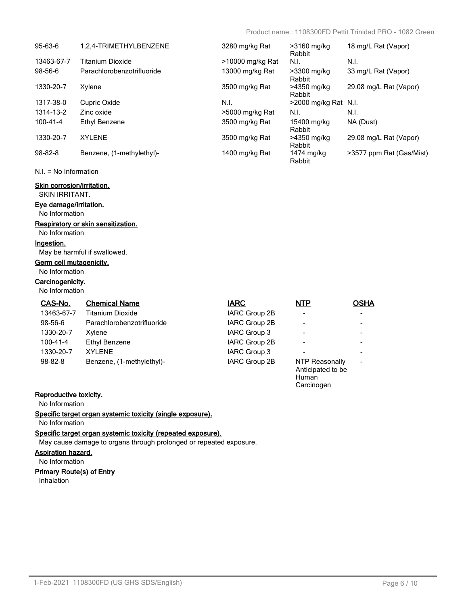**Carcinogen** 

| $95 - 63 - 6$  | 1.2.4-TRIMETHYLBENZENE     | 3280 mg/kg Rat   | $>3160$ mg/kg<br>Rabbit | 18 mg/L Rat (Vapor)      |
|----------------|----------------------------|------------------|-------------------------|--------------------------|
| 13463-67-7     | <b>Titanium Dioxide</b>    | >10000 mg/kg Rat | N.I.                    | N.I.                     |
| 98-56-6        | Parachlorobenzotrifluoride | 13000 mg/kg Rat  | >3300 mg/kg<br>Rabbit   | 33 mg/L Rat (Vapor)      |
| 1330-20-7      | Xylene                     | 3500 mg/kg Rat   | >4350 mg/kg<br>Rabbit   | 29.08 mg/L Rat (Vapor)   |
| 1317-38-0      | Cupric Oxide               | N.I.             | >2000 mg/kg Rat N.I.    |                          |
| 1314-13-2      | Zinc oxide                 | >5000 mg/kg Rat  | N.I.                    | N.I.                     |
| $100 - 41 - 4$ | Ethyl Benzene              | 3500 mg/kg Rat   | 15400 mg/kg<br>Rabbit   | NA (Dust)                |
| 1330-20-7      | <b>XYLENE</b>              | 3500 mg/kg Rat   | >4350 mg/kg<br>Rabbit   | 29.08 mg/L Rat (Vapor)   |
| $98 - 82 - 8$  | Benzene, (1-methylethyl)-  | 1400 mg/kg Rat   | 1474 mg/kg<br>Rabbit    | >3577 ppm Rat (Gas/Mist) |

N.I. = No Information

# **Skin corrosion/irritation.**

SKIN IRRITANT.

# **Eye damage/irritation.**

No Information

# **Respiratory or skin sensitization.**

No Information

#### **Ingestion.**

May be harmful if swallowed.

## **Germ cell mutagenicity.**

No Information

# **Carcinogenicity.**

No Information

| CAS-No.        | <b>Chemical Name</b>       | <b>IARC</b>   | <b>NTP</b>                                   | <b>OSHA</b>              |
|----------------|----------------------------|---------------|----------------------------------------------|--------------------------|
| 13463-67-7     | Titanium Dioxide           | IARC Group 2B |                                              | $\blacksquare$           |
| 98-56-6        | Parachlorobenzotrifluoride | IARC Group 2B |                                              | $\overline{\phantom{a}}$ |
| 1330-20-7      | Xylene                     | IARC Group 3  |                                              | $\overline{\phantom{a}}$ |
| $100 - 41 - 4$ | Ethyl Benzene              | IARC Group 2B |                                              | $\blacksquare$           |
| 1330-20-7      | <b>XYLENE</b>              | IARC Group 3  |                                              | $\blacksquare$           |
| $98 - 82 - 8$  | Benzene, (1-methylethyl)-  | IARC Group 2B | NTP Reasonally<br>Anticipated to be<br>Human | $\overline{\phantom{a}}$ |

## **Reproductive toxicity.**

No Information

**Specific target organ systemic toxicity (single exposure).**

# No Information

# **Specific target organ systemic toxicity (repeated exposure).**

May cause damage to organs through prolonged or repeated exposure.

#### **Aspiration hazard.**

No Information

#### **Primary Route(s) of Entry**

Inhalation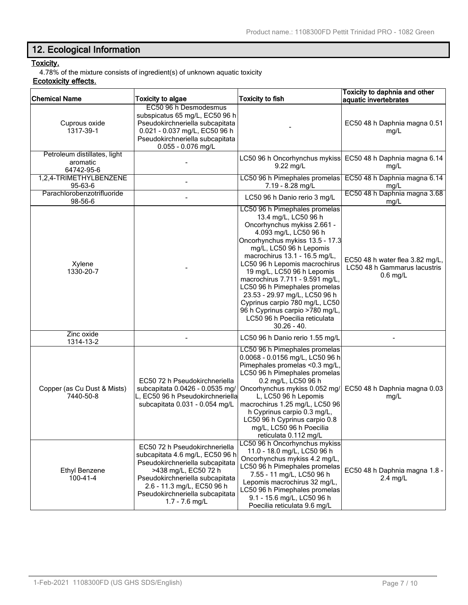# **12. Ecological Information**

# **Toxicity.**

4.78% of the mixture consists of ingredient(s) of unknown aquatic toxicity

# **Ecotoxicity effects.**

| <b>Chemical Name</b>                                   | <b>Toxicity to algae</b>                                                                                                                                                                                                                            | <b>Toxicity to fish</b>                                                                                                                                                                                                                                                                                                                                                                                                                                                                                 | Toxicity to daphnia and other<br>aquatic invertebrates                        |
|--------------------------------------------------------|-----------------------------------------------------------------------------------------------------------------------------------------------------------------------------------------------------------------------------------------------------|---------------------------------------------------------------------------------------------------------------------------------------------------------------------------------------------------------------------------------------------------------------------------------------------------------------------------------------------------------------------------------------------------------------------------------------------------------------------------------------------------------|-------------------------------------------------------------------------------|
| Cuprous oxide<br>1317-39-1                             | EC50 96 h Desmodesmus<br>subspicatus 65 mg/L, EC50 96 h<br>Pseudokirchneriella subcapitata<br>0.021 - 0.037 mg/L, EC50 96 h<br>Pseudokirchneriella subcapitata<br>0.055 - 0.076 mg/L                                                                |                                                                                                                                                                                                                                                                                                                                                                                                                                                                                                         | EC50 48 h Daphnia magna 0.51<br>mg/L                                          |
| Petroleum distillates, light<br>aromatic<br>64742-95-6 |                                                                                                                                                                                                                                                     | LC50 96 h Oncorhynchus mykiss<br>9.22 mg/L                                                                                                                                                                                                                                                                                                                                                                                                                                                              | EC50 48 h Daphnia magna 6.14<br>mg/L                                          |
| 1,2,4-TRIMETHYLBENZENE<br>95-63-6                      |                                                                                                                                                                                                                                                     | LC50 96 h Pimephales promelas<br>7.19 - 8.28 mg/L                                                                                                                                                                                                                                                                                                                                                                                                                                                       | EC50 48 h Daphnia magna 6.14<br>mg/L                                          |
| Parachlorobenzotrifluoride<br>98-56-6                  |                                                                                                                                                                                                                                                     | LC50 96 h Danio rerio 3 mg/L                                                                                                                                                                                                                                                                                                                                                                                                                                                                            | EC50 48 h Daphnia magna 3.68<br>mg/L                                          |
| Xylene<br>1330-20-7                                    |                                                                                                                                                                                                                                                     | LC50 96 h Pimephales promelas<br>13.4 mg/L, LC50 96 h<br>Oncorhynchus mykiss 2.661 -<br>4.093 mg/L, LC50 96 h<br>Oncorhynchus mykiss 13.5 - 17.3<br>mg/L, LC50 96 h Lepomis<br>macrochirus 13.1 - 16.5 mg/L,<br>LC50 96 h Lepomis macrochirus<br>19 mg/L, LC50 96 h Lepomis<br>macrochirus 7.711 - 9.591 mg/L,<br>LC50 96 h Pimephales promelas<br>23.53 - 29.97 mg/L, LC50 96 h<br>Cyprinus carpio 780 mg/L, LC50<br>96 h Cyprinus carpio >780 mg/L,<br>LC50 96 h Poecilia reticulata<br>$30.26 - 40.$ | EC50 48 h water flea 3.82 mg/L,<br>LC50 48 h Gammarus lacustris<br>$0.6$ mg/L |
| Zinc oxide<br>1314-13-2                                |                                                                                                                                                                                                                                                     | LC50 96 h Danio rerio 1.55 mg/L                                                                                                                                                                                                                                                                                                                                                                                                                                                                         |                                                                               |
| Copper (as Cu Dust & Mists)<br>7440-50-8               | EC50 72 h Pseudokirchneriella<br>subcapitata 0.0426 - 0.0535 mg/<br>L, EC50 96 h Pseudokirchneriella<br>subcapitata 0.031 - 0.054 mg/L                                                                                                              | LC50 96 h Pimephales promelas<br>0.0068 - 0.0156 mg/L, LC50 96 h<br>Pimephales promelas <0.3 mg/L,<br>LC50 96 h Pimephales promelas<br>0.2 mg/L, LC50 96 h<br>Oncorhynchus mykiss 0.052 mg/<br>L, LC50 96 h Lepomis<br>macrochirus 1.25 mg/L, LC50 96<br>h Cyprinus carpio 0.3 mg/L,<br>LC50 96 h Cyprinus carpio 0.8<br>mg/L, LC50 96 h Poecilia<br>reticulata 0.112 mg/L                                                                                                                              | EC50 48 h Daphnia magna 0.03<br>mg/L                                          |
| <b>Ethyl Benzene</b><br>$100 - 41 - 4$                 | EC50 72 h Pseudokirchneriella<br>subcapitata 4.6 mg/L, EC50 96 h<br>Pseudokirchneriella subcapitata<br>>438 mg/L, EC50 72 h<br>Pseudokirchneriella subcapitata<br>2.6 - 11.3 mg/L, EC50 96 h<br>Pseudokirchneriella subcapitata<br>$1.7 - 7.6$ mg/L | LC50 96 h Oncorhynchus mykiss<br>11.0 - 18.0 mg/L, LC50 96 h<br>Oncorhynchus mykiss 4.2 mg/L,<br>LC50 96 h Pimephales promelas<br>7.55 - 11 mg/L, LC50 96 h<br>Lepomis macrochirus 32 mg/L,<br>LC50 96 h Pimephales promelas<br>9.1 - 15.6 mg/L, LC50 96 h<br>Poecilia reticulata 9.6 mg/L                                                                                                                                                                                                              | EC50 48 h Daphnia magna 1.8 -<br>$2.4$ mg/L                                   |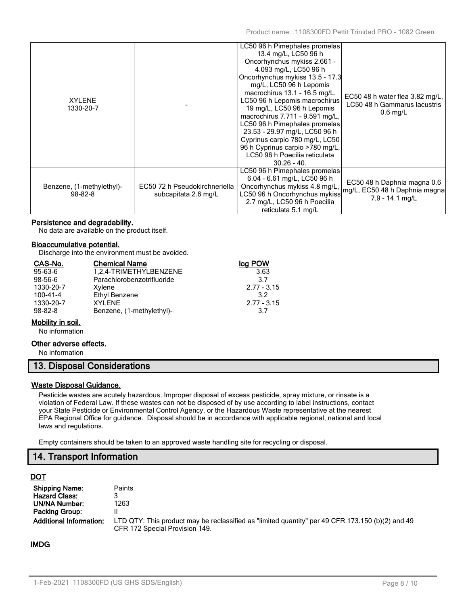| <b>XYLENE</b><br>1330-20-7                 |                                                       | LC50 96 h Pimephales promelas<br>13.4 mg/L, LC50 96 h<br>Oncorhynchus mykiss 2.661 -<br>4.093 mg/L, LC50 96 h<br>Oncorhynchus mykiss 13.5 - 17.3<br>mg/L, LC50 96 h Lepomis<br>macrochirus 13.1 - 16.5 mg/L,<br>LC50 96 h Lepomis macrochirus<br>19 mg/L, LC50 96 h Lepomis<br>macrochirus 7.711 - 9.591 mg/L,<br>LC50 96 h Pimephales promelas<br>23.53 - 29.97 mg/L, LC50 96 h<br>Cyprinus carpio 780 mg/L, LC50<br>96 h Cyprinus carpio >780 mg/L,<br>LC50 96 h Poecilia reticulata | EC50 48 h water flea 3.82 mg/L,<br>LC50 48 h Gammarus lacustris<br>$0.6$ mg/L   |
|--------------------------------------------|-------------------------------------------------------|----------------------------------------------------------------------------------------------------------------------------------------------------------------------------------------------------------------------------------------------------------------------------------------------------------------------------------------------------------------------------------------------------------------------------------------------------------------------------------------|---------------------------------------------------------------------------------|
|                                            |                                                       | $30.26 - 40.$<br>LC50 96 h Pimephales promelas                                                                                                                                                                                                                                                                                                                                                                                                                                         |                                                                                 |
| Benzene, (1-methylethyl)-<br>$98 - 82 - 8$ | EC50 72 h Pseudokirchneriella<br>subcapitata 2.6 mg/L | 6.04 - 6.61 mg/L, LC50 96 h<br>Oncorhynchus mykiss 4.8 mg/L,<br>LC50 96 h Oncorhynchus mykiss<br>2.7 mg/L, LC50 96 h Poecilia<br>reticulata 5.1 mg/L                                                                                                                                                                                                                                                                                                                                   | EC50 48 h Daphnia magna 0.6<br>mg/L, EC50 48 h Daphnia magna<br>7.9 - 14.1 mg/L |

## **Persistence and degradability.**

No data are available on the product itself.

#### **Bioaccumulative potential.**

Discharge into the environment must be avoided.

| CAS-No.       | <b>Chemical Name</b>       | log POW         |
|---------------|----------------------------|-----------------|
| $95 - 63 - 6$ | 1,2,4-TRIMETHYLBENZENE     | 3.63            |
| 98-56-6       | Parachlorobenzotrifluoride | 37              |
| 1330-20-7     | Xylene                     | $2.77 - 3.15$   |
| 100-41-4      | Ethyl Benzene              | 32 <sup>2</sup> |
| 1330-20-7     | XYI FNF                    | $2.77 - 3.15$   |
| $98 - 82 - 8$ | Benzene, (1-methylethyl)-  | 3.7             |

## **Mobility in soil.**

No information

#### **Other adverse effects.**

No information

# **13. Disposal Considerations**

#### **Waste Disposal Guidance.**

Pesticide wastes are acutely hazardous. Improper disposal of excess pesticide, spray mixture, or rinsate is a violation of Federal Law. If these wastes can not be disposed of by use according to label instructions, contact your State Pesticide or Environmental Control Agency, or the Hazardous Waste representative at the nearest EPA Regional Office for guidance. Disposal should be in accordance with applicable regional, national and local laws and regulations.

Empty containers should be taken to an approved waste handling site for recycling or disposal.

# **14. Transport Information**

## **DOT**

| <b>Shipping Name:</b>          | <b>Paints</b>                                                                                                                      |
|--------------------------------|------------------------------------------------------------------------------------------------------------------------------------|
| <b>Hazard Class:</b>           |                                                                                                                                    |
| <b>UN/NA Number:</b>           | 1263                                                                                                                               |
| Packing Group:                 |                                                                                                                                    |
| <b>Additional Information:</b> | LTD QTY: This product may be reclassified as "limited quantity" per 49 CFR 173.150 (b)(2) and 49<br>CFR 172 Special Provision 149. |

## **IMDG**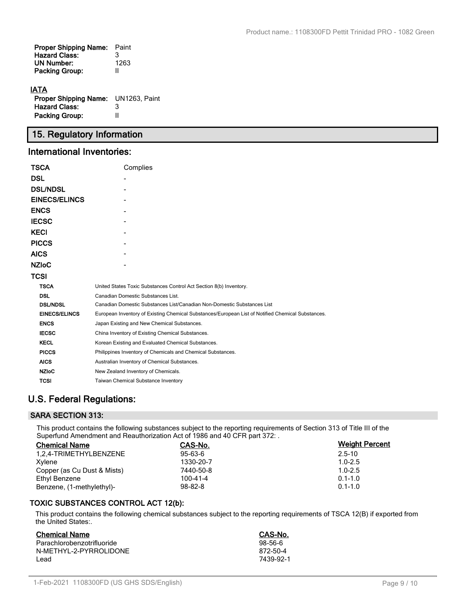| <b>Proper Shipping Name:</b><br><b>Hazard Class:</b> | Paint<br>3 |
|------------------------------------------------------|------------|
| <b>UN Number:</b>                                    | 1263       |
| <b>Packing Group:</b>                                | Ш          |
|                                                      |            |

# **IATA**

| <b>Proper Shipping Name:</b> UN1263, Paint |   |
|--------------------------------------------|---|
| <b>Hazard Class:</b>                       | 3 |
| <b>Packing Group:</b>                      | Ш |

# **15. Regulatory Information**

# **International Inventories:**

| TSCA                 | Complies                                                                                          |  |  |
|----------------------|---------------------------------------------------------------------------------------------------|--|--|
| <b>DSL</b>           |                                                                                                   |  |  |
| <b>DSL/NDSL</b>      |                                                                                                   |  |  |
| <b>EINECS/ELINCS</b> |                                                                                                   |  |  |
| <b>ENCS</b>          |                                                                                                   |  |  |
| <b>IECSC</b>         |                                                                                                   |  |  |
| <b>KECI</b>          |                                                                                                   |  |  |
| <b>PICCS</b>         |                                                                                                   |  |  |
| <b>AICS</b>          |                                                                                                   |  |  |
| <b>NZIoC</b>         |                                                                                                   |  |  |
| TCSI                 |                                                                                                   |  |  |
| <b>TSCA</b>          | United States Toxic Substances Control Act Section 8(b) Inventory.                                |  |  |
| <b>DSL</b>           | Canadian Domestic Substances List.                                                                |  |  |
| <b>DSL/NDSL</b>      | Canadian Domestic Substances List/Canadian Non-Domestic Substances List                           |  |  |
| <b>EINECS/ELINCS</b> | European Inventory of Existing Chemical Substances/European List of Notified Chemical Substances. |  |  |
| <b>ENCS</b>          | Japan Existing and New Chemical Substances.                                                       |  |  |
| <b>IECSC</b>         | China Inventory of Existing Chemical Substances.                                                  |  |  |
| <b>KECL</b>          | Korean Existing and Evaluated Chemical Substances.                                                |  |  |
| <b>PICCS</b>         | Philippines Inventory of Chemicals and Chemical Substances.                                       |  |  |
| <b>AICS</b>          | Australian Inventory of Chemical Substances.                                                      |  |  |
| <b>NZIoC</b>         | New Zealand Inventory of Chemicals.                                                               |  |  |
| TCSI                 | <b>Taiwan Chemical Substance Inventory</b>                                                        |  |  |

# **U.S. Federal Regulations:**

# **SARA SECTION 313:**

This product contains the following substances subject to the reporting requirements of Section 313 of Title III of the Superfund Amendment and Reauthorization Act of 1986 and 40 CFR part 372: .

| <b>Chemical Name</b>        | CAS-No.       | <b>Weight Percent</b> |  |
|-----------------------------|---------------|-----------------------|--|
| 1.2.4-TRIMETHYLBENZENE      | 95-63-6       | $2.5 - 10$            |  |
| Xylene                      | 1330-20-7     | $1.0 - 2.5$           |  |
| Copper (as Cu Dust & Mists) | 7440-50-8     | $1.0 - 2.5$           |  |
| Ethyl Benzene               | 100-41-4      | $0.1 - 1.0$           |  |
| Benzene, (1-methylethyl)-   | $98 - 82 - 8$ | $0.1 - 1.0$           |  |

# **TOXIC SUBSTANCES CONTROL ACT 12(b):**

This product contains the following chemical substances subject to the reporting requirements of TSCA 12(B) if exported from the United States:.

| <b>Chemical Name</b>       | CAS-No.   |
|----------------------------|-----------|
| Parachlorobenzotrifluoride | $98-56-6$ |
| N-METHYL-2-PYRROLIDONE     | 872-50-4  |
| l ead                      | 7439-92-1 |